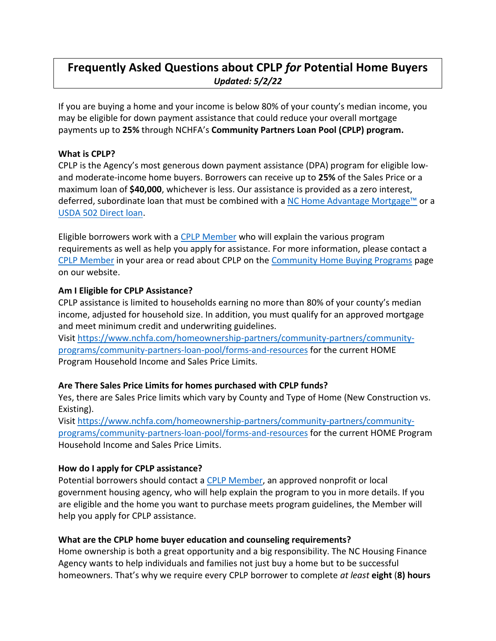# **Frequently Asked Questions about CPLP** *for* **Potential Home Buyers** *Updated: 5/2/22*

If you are buying a home and your income is below 80% of your county's median income, you may be eligible for down payment assistance that could reduce your overall mortgage payments up to **25%** through NCHFA's **Community Partners Loan Pool (CPLP) program.** 

#### **What is CPLP?**

CPLP is the Agency's most generous down payment assistance (DPA) program for eligible lowand moderate-income home buyers. Borrowers can receive up to **25%** of the Sales Price or a maximum loan of **\$40,000**, whichever is less. Our assistance is provided as a zero interest, deferred, subordinate loan that must be combined with a [NC Home Advantage Mortgage™](https://www.nchfa.com/home-buyers/buy-home/nc-home-advantage-mortgage) or a [USDA 502 Direct loan.](https://www.rd.usda.gov/programs-services/single-family-housing-programs/single-family-housing-direct-home-loans)

Eligible borrowers work with a [CPLP Member](https://www.nchfa.com/homeownership-partners/community-partners/current-community-partners) who will explain the various program requirements as well as help you apply for assistance. For more information, please contact a [CPLP Member](https://www.nchfa.com/homeownership-partners/community-partners/current-community-partners) in your area or read about CPLP on the [Community Home Buying Programs](https://www.nchfa.com/home-buyers/buy-home/community-home-buying-programs) page on our website.

#### **Am I Eligible for CPLP Assistance?**

CPLP assistance is limited to households earning no more than 80% of your county's median income, adjusted for household size. In addition, you must qualify for an approved mortgage and meet minimum credit and underwriting guidelines.

Visit [https://www.nchfa.com/homeownership-partners/community-partners/community](https://www.nchfa.com/homeownership-partners/community-partners/community-programs/community-partners-loan-pool/forms-and-resources)[programs/community-partners-loan-pool/forms-and-resources](https://www.nchfa.com/homeownership-partners/community-partners/community-programs/community-partners-loan-pool/forms-and-resources) for the current [HOME](https://www.nchfa.com/sites/default/files/page_attachments/IncomeSalesPriceLimits.pdf)  Program [Household Income and Sales Price Limits.](https://www.nchfa.com/sites/default/files/page_attachments/IncomeSalesPriceLimits.pdf)

### **Are There Sales Price Limits for homes purchased with CPLP funds?**

Yes, there are Sales Price limits which vary by County and Type of Home (New Construction vs. Existing).

Visit [https://www.nchfa.com/homeownership-partners/community-partners/community](https://www.nchfa.com/homeownership-partners/community-partners/community-programs/community-partners-loan-pool/forms-and-resources)[programs/community-partners-loan-pool/forms-and-resources](https://www.nchfa.com/homeownership-partners/community-partners/community-programs/community-partners-loan-pool/forms-and-resources) for the current [HOME Program](https://www.nchfa.com/sites/default/files/page_attachments/IncomeSalesPriceLimits.pdf)  [Household Income and Sales Price Limits.](https://www.nchfa.com/sites/default/files/page_attachments/IncomeSalesPriceLimits.pdf)

#### **How do I apply for CPLP assistance?**

Potential borrowers should contact a **CPLP** Member, an approved nonprofit or local government housing agency, who will help explain the program to you in more details. If you are eligible and the home you want to purchase meets program guidelines, the Member will help you apply for CPLP assistance.

### **What are the CPLP home buyer education and counseling requirements?**

Home ownership is both a great opportunity and a big responsibility. The NC Housing Finance Agency wants to help individuals and families not just buy a home but to be successful homeowners. That's why we require every CPLP borrower to complete *at least* **eight** (**8) hours**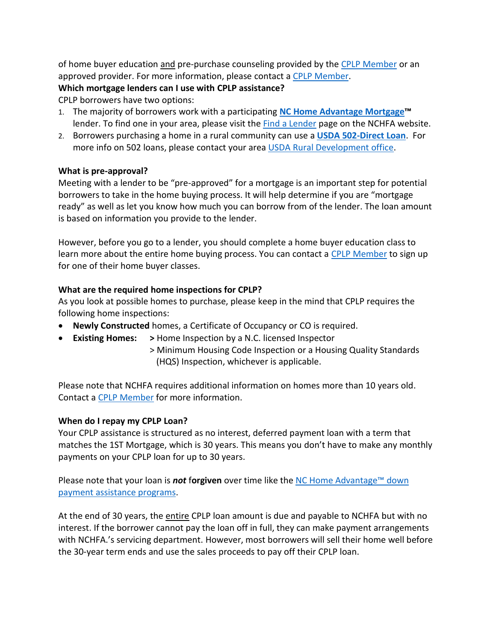of home buyer education and pre-purchase counseling provided by the [CPLP Member](https://www.nchfa.com/homeownership-partners/community-partners/current-community-partners) or an approved provider. For more information, please contact [a CPLP Member.](https://www.nchfa.com/homeownership-partners/community-partners/current-community-partners)

## **Which mortgage lenders can I use with CPLP assistance?**

CPLP borrowers have two options:

- 1. The majority of borrowers work with a participating **[NC Home Advantage](https://www.nchfa.com/home-buyers/buy-home/nc-home-advantage-mortgage) Mortgage™** lender. To find one in your area, please visit the **Find a Lender page on the NCHFA website**.
- 2. Borrowers purchasing a home in a rural community can use a **USDA [502-Direct Loan](https://www.rd.usda.gov/programs-services/single-family-housing-programs/single-family-housing-direct-home-loans)**. For more info on 502 loans, please contact your area USDA [Rural Development office.](https://www.rd.usda.gov/programs-services/single-family-housing-programs/single-family-housing-direct-home-loans/nc)

## **What is pre-approval?**

Meeting with a lender to be "pre-approved" for a mortgage is an important step for potential borrowers to take in the home buying process. It will help determine if you are "mortgage ready" as well as let you know how much you can borrow from of the lender. The loan amount is based on information you provide to the lender.

However, before you go to a lender, you should complete a home buyer education class to learn more about the entire home buying process. You can contact a [CPLP Member](https://www.nchfa.com/homeownership-partners/community-partners/current-community-partners) to sign up for one of their home buyer classes.

# **What are the required home inspections for CPLP?**

As you look at possible homes to purchase, please keep in the mind that CPLP requires the following home inspections:

- **Newly Constructed** homes, a Certificate of Occupancy or CO is required.
- **Existing Homes: >** Home Inspection by a N.C. licensed Inspector
	- > Minimum Housing Code Inspection or a Housing Quality Standards (HQS) Inspection, whichever is applicable.

Please note that NCHFA requires additional information on homes more than 10 years old. Contact a [CPLP Member](https://www.nchfa.com/homeownership-partners/community-partners/current-community-partners) for more information.

# **When do I repay my CPLP Loan?**

Your CPLP assistance is structured as no interest, deferred payment loan with a term that matches the 1ST Mortgage, which is 30 years. This means you don't have to make any monthly payments on your CPLP loan for up to 30 years.

Please note that your loan is *not* f**orgiven** over time like the [NC Home Advantage](https://www.nchfa.com/home-buyers/buy-home/nc-home-advantage-mortgage)™ down [payment assistance programs.](https://www.nchfa.com/home-buyers/buy-home/nc-home-advantage-mortgage)

At the end of 30 years, the entire CPLP loan amount is due and payable to NCHFA but with no interest. If the borrower cannot pay the loan off in full, they can make payment arrangements with NCHFA.'s servicing department. However, most borrowers will sell their home well before the 30-year term ends and use the sales proceeds to pay off their CPLP loan.